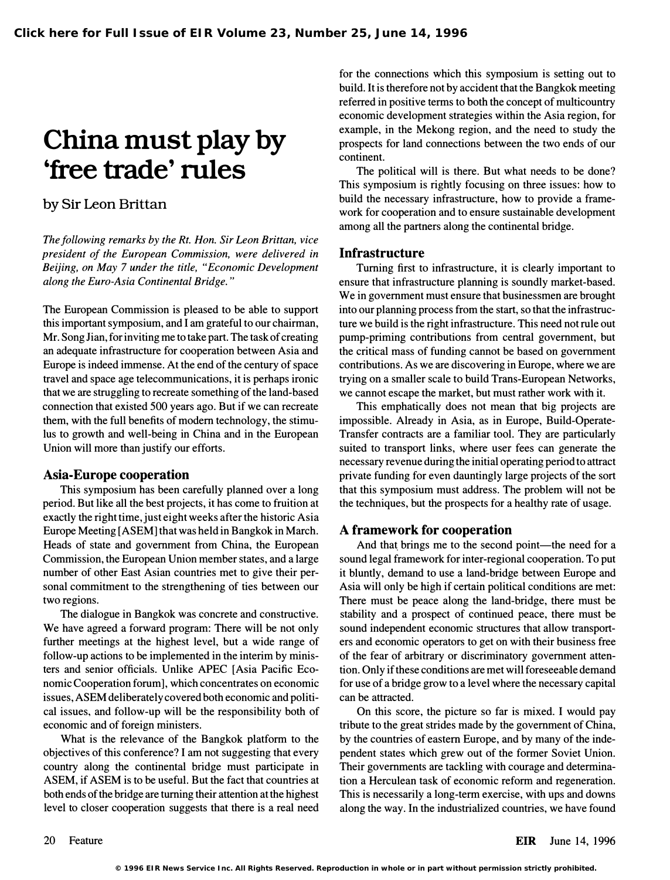# China must play by 'free trade' rules

## by Sir Leon Brittan

The following remarks by the Rt. Hon. Sir Leon Brittan, vice president of the European Commission, were delivered in Beijing, on May 7 under the title, "Economic Development along the Euro-Asia Continental Bridge. "

The European Commission is pleased to be able to support this important symposium, and I am grateful to our chairman, Mr. Song Jian, for inviting me to take part. The task of creating an adequate infrastructure for cooperation between Asia and Europe is indeed immense. At the end of the century of space travel and space age telecommunications, it is perhaps ironic that we are struggling to recreate something of the land-based connection that existed 500 years ago. But if we can recreate them, with the full benefits of modern technology, the stimulus to growth and well-being in China and in the European Union will more than justify our efforts.

### Asia-Europe cooperation

This symposium has been carefully planned over a long period. But like all the best projects, it has come to fruition at exactly the right time, just eight weeks after the historic Asia Europe Meeting [ASEM] that was held in Bangkok in March. Heads of state and government from China, the European Commission, the European Union member states, and a large number of other East Asian countries met to give their personal commitment to the strengthening of ties between our two regions.

The dialogue in Bangkok was concrete and constructive. We have agreed a forward program: There will be not only further meetings at the highest level, but a wide range of follow-up actions to be implemented in the interim by ministers and senior officials. Unlike APEC [Asia Pacific Economic Cooperation forum], which concentrates on economic issues, ASEM deliberately covered both economic and political issues, and follow-up will be the responsibility both of economic and of foreign ministers.

What is the relevance of the Bangkok platform to the objectives of this conference? I am not suggesting that every country along the continental bridge must participate in ASEM, if ASEM is to be useful. But the fact that countries at both ends of the bridge are turning their attention at the highest level to closer cooperation suggests that there is a real need

for the connections which this symposium is setting out to build. It is therefore not by accident that the Bangkok meeting referred in positive terms to both the concept of multicountry economic development strategies within the Asia region, for example, in the Mekong region, and the need to study the prospects for land connections between the two ends of our continent.

The political will is there. But what needs to be done? This symposium is rightly focusing on three issues: how to build the necessary infrastructure, how to provide a framework for cooperation and to ensure sustainable development among all the partners along the continental bridge.

### **Infrastructure**

Turning first to infrastructure, it is clearly important to ensure that infrastructure planning is soundly market-based. We in government must ensure that businessmen are brought into our planning process from the start, so that the infrastructure we build is the right infrastructure. This need not rule out pump-priming contributions from central government, but the critical mass of funding cannot be based on government contributions. As we are discovering in Europe, where we are trying on a smaller scale to build Trans-European Networks, we cannot escape the market, but must rather work with it.

This emphatically does not mean that big projects are impossible. Already in Asia, as in Europe, Build-Operate-Transfer contracts are a familiar tool. They are particularly suited to transport links, where user fees can generate the necessary revenue during the initial operating period to attract private funding for even dauntingly large projects of the sort that this symposium must address. The problem will not be the techniques, but the prospects for a healthy rate of usage.

## A framework for cooperation

And that brings me to the second point—the need for a sound legal framework for inter-regional cooperation. To put it bluntly, demand to use a land-bridge between Europe and Asia will only be high if certain political conditions are met: There must be peace along the land-bridge, there must be stability and a prospect of continued peace, there must be sound independent economic structures that allow transporters and economic operators to get on with their business free of the fear of arbitrary or discriminatory government attention. Only if these conditions are met will foreseeable demand for use of a bridge grow to a level where the necessary capital can be attracted.

On this score, the picture so far is mixed. I would pay tribute to the great strides made by the government of China, by the countries of eastern Europe, and by many of the independent states which grew out of the former Soviet Union. Their governments are tackling with courage and determination a Herculean task of economic reform and regeneration. This is necessarily a long-term exercise, with ups and downs along the way. In the industrialized countries, we have found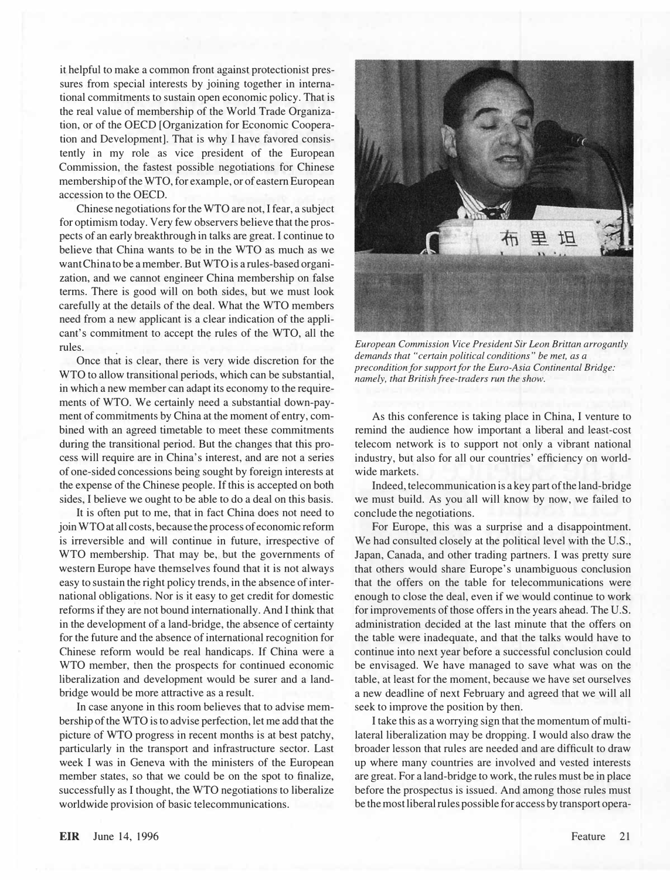it helpful to make a common front against protectionist pressures from special interests by joining together in international commitments to sustain open economic policy. That is the real value of membership of the World Trade Organization, or of the OECD [Organization for Economic Cooperation and Development]. That is why I have favored consistently in my role as vice president of the European Commission, the fastest possible negotiations for Chinese membership of the WTO, for example, or of eastern European accession to the OECD.

Chinese negotiations for the WTO are not, I fear, a subject for optimism today. Very few observers believe that the prospects of an early breakthrough in talks are great. I continue to believe that China wants to be in the WTO as much as we want China to be a member. But WTO is a rules-based organization, and we cannot engineer China membership on false terms. There is good will on both sides, but we must look carefully at the details of the deal. What the WTO members need from a new applicant is a clear indication of the applicant's commitment to accept the rules of the WTO, all the rules.

Once that is clear, there is very wide discretion for the WTO to allow transitional periods, which can be substantial, in which a new member can adapt its economy to the requirements of WTO. We certainly need a substantial down-payment of commitments by China at the moment of entry, combined with an agreed timetable to meet these commitments during the transitional period. But the changes that this process will require are in China's interest, and are not a series of one-sided concessions being sought by foreign interests at the expense of the Chinese people. If this is accepted on both sides, I believe we ought to be able to do a deal on this basis.

It is often put to me, that in fact China does not need to join WTO at all costs, because the process of economic reform is irreversible and will continue in future, irrespective of WTO membership. That may be, but the governments of western Europe have themselves found that it is not always easy to sustain the right policy trends, in the absence of international obligations. Nor is it easy to get credit for domestic reforms if they are not bound internationally. And I think that in the development of a land-bridge, the absence of certainty for the future and the absence of international recognition for Chinese reform would be real handicaps. If China were a WTO member, then the prospects for continued economic liberalization and development would be surer and a landbridge would be more attractive as a result.

In case anyone in this room believes that to advise membership of the WTO is to advise perfection, let me add that the picture of WTO progress in recent months is at best patchy, particularly in the transport and infrastructure sector. Last week I was in Geneva with the ministers of the European member states, so that we could be on the spot to finalize, successfully as I thought, the WTO negotiations to liberalize worldwide provision of basic telecommunications.



European Commission Vice President Sir Leon Brittan arrogantly demands that "certain political conditions" be met, as a precondition for support for the Euro-Asia Continental Bridge: namely, that British free-traders run the show.

As this conference is taking place in China, I venture to remind the audience how important a liberal and least-cost telecom network is to support not only a vibrant national industry, but also for all our countries' efficiency on worldwide markets.

Indeed, telecommunication is a key part of the land-bridge we must build. As you all will know by now, we failed to conclude the negotiations.

For Europe, this was a surprise and a disappointment. We had consulted closely at the political level with the U.S., Japan, Canada, and other trading partners. I was pretty sure that others would share Europe's unambiguous conclusion that the offers on the table for telecommunications were enough to close the deal, even if we would continue to work for improvements of those offers in the years ahead. The U.S. administration decided at the last minute that the offers on the table were inadequate, and that the talks would have to continue into next year before a successful conclusion could be envisaged. We have managed to save what was on the table, at least for the moment, because we have set ourselves a new deadline of next February and agreed that we will all seek to improve the position by then.

I take this as a worrying sign that the momentum of multilateral liberalization may be dropping. I would also draw the broader lesson that rules are needed and are difficult to draw up where many countries are involved and vested interests are great. For a land-bridge to work, the rules must be in place before the prospectus is issued. And among those rules must be the most liberal rules possible for access by transport opera-